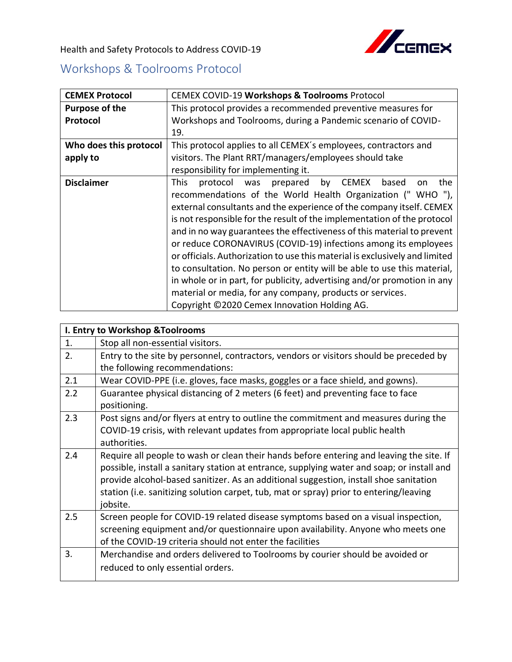

Health and Safety Protocols to Address COVID-19

## Workshops & Toolrooms Protocol

| <b>CEMEX Protocol</b>  | CEMEX COVID-19 Workshops & Toolrooms Protocol                                                                                                                                                                                                                                                                                                                                                                                                                                                                                                                                                                                                                                                                                                                                            |
|------------------------|------------------------------------------------------------------------------------------------------------------------------------------------------------------------------------------------------------------------------------------------------------------------------------------------------------------------------------------------------------------------------------------------------------------------------------------------------------------------------------------------------------------------------------------------------------------------------------------------------------------------------------------------------------------------------------------------------------------------------------------------------------------------------------------|
| <b>Purpose of the</b>  | This protocol provides a recommended preventive measures for                                                                                                                                                                                                                                                                                                                                                                                                                                                                                                                                                                                                                                                                                                                             |
| Protocol               | Workshops and Toolrooms, during a Pandemic scenario of COVID-                                                                                                                                                                                                                                                                                                                                                                                                                                                                                                                                                                                                                                                                                                                            |
|                        | 19.                                                                                                                                                                                                                                                                                                                                                                                                                                                                                                                                                                                                                                                                                                                                                                                      |
| Who does this protocol | This protocol applies to all CEMEX's employees, contractors and                                                                                                                                                                                                                                                                                                                                                                                                                                                                                                                                                                                                                                                                                                                          |
| apply to               | visitors. The Plant RRT/managers/employees should take                                                                                                                                                                                                                                                                                                                                                                                                                                                                                                                                                                                                                                                                                                                                   |
|                        | responsibility for implementing it.                                                                                                                                                                                                                                                                                                                                                                                                                                                                                                                                                                                                                                                                                                                                                      |
| <b>Disclaimer</b>      | <b>This</b><br>prepared by CEMEX<br>based<br>the<br>protocol<br>was<br>on<br>recommendations of the World Health Organization ("WHO"),<br>external consultants and the experience of the company itself. CEMEX<br>is not responsible for the result of the implementation of the protocol<br>and in no way guarantees the effectiveness of this material to prevent<br>or reduce CORONAVIRUS (COVID-19) infections among its employees<br>or officials. Authorization to use this material is exclusively and limited<br>to consultation. No person or entity will be able to use this material,<br>in whole or in part, for publicity, advertising and/or promotion in any<br>material or media, for any company, products or services.<br>Copyright ©2020 Cemex Innovation Holding AG. |

| I. Entry to Workshop & Toolrooms |                                                                                            |  |
|----------------------------------|--------------------------------------------------------------------------------------------|--|
| 1.                               | Stop all non-essential visitors.                                                           |  |
| 2.                               | Entry to the site by personnel, contractors, vendors or visitors should be preceded by     |  |
|                                  | the following recommendations:                                                             |  |
| 2.1                              | Wear COVID-PPE (i.e. gloves, face masks, goggles or a face shield, and gowns).             |  |
| 2.2                              | Guarantee physical distancing of 2 meters (6 feet) and preventing face to face             |  |
|                                  | positioning.                                                                               |  |
| 2.3                              | Post signs and/or flyers at entry to outline the commitment and measures during the        |  |
|                                  | COVID-19 crisis, with relevant updates from appropriate local public health                |  |
|                                  | authorities.                                                                               |  |
| 2.4                              | Require all people to wash or clean their hands before entering and leaving the site. If   |  |
|                                  | possible, install a sanitary station at entrance, supplying water and soap; or install and |  |
|                                  | provide alcohol-based sanitizer. As an additional suggestion, install shoe sanitation      |  |
|                                  | station (i.e. sanitizing solution carpet, tub, mat or spray) prior to entering/leaving     |  |
|                                  | jobsite.                                                                                   |  |
| 2.5                              | Screen people for COVID-19 related disease symptoms based on a visual inspection,          |  |
|                                  | screening equipment and/or questionnaire upon availability. Anyone who meets one           |  |
|                                  | of the COVID-19 criteria should not enter the facilities                                   |  |
| 3.                               | Merchandise and orders delivered to Toolrooms by courier should be avoided or              |  |
|                                  | reduced to only essential orders.                                                          |  |
|                                  |                                                                                            |  |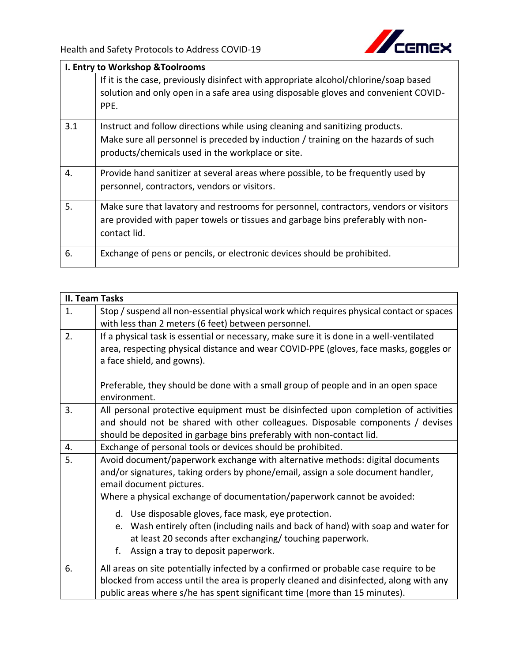

| <b>I. Entry to Workshop &amp; Toolrooms</b> |                                                                                                                                                                                                                         |  |
|---------------------------------------------|-------------------------------------------------------------------------------------------------------------------------------------------------------------------------------------------------------------------------|--|
|                                             | If it is the case, previously disinfect with appropriate alcohol/chlorine/soap based<br>solution and only open in a safe area using disposable gloves and convenient COVID-<br>PPE.                                     |  |
| 3.1                                         | Instruct and follow directions while using cleaning and sanitizing products.<br>Make sure all personnel is preceded by induction / training on the hazards of such<br>products/chemicals used in the workplace or site. |  |
| 4.                                          | Provide hand sanitizer at several areas where possible, to be frequently used by<br>personnel, contractors, vendors or visitors.                                                                                        |  |
| 5.                                          | Make sure that lavatory and restrooms for personnel, contractors, vendors or visitors<br>are provided with paper towels or tissues and garbage bins preferably with non-<br>contact lid.                                |  |
| 6.                                          | Exchange of pens or pencils, or electronic devices should be prohibited.                                                                                                                                                |  |

|    | <b>II. Team Tasks</b>                                                                                                                                                                                                                                                                               |  |  |
|----|-----------------------------------------------------------------------------------------------------------------------------------------------------------------------------------------------------------------------------------------------------------------------------------------------------|--|--|
| 1. | Stop / suspend all non-essential physical work which requires physical contact or spaces<br>with less than 2 meters (6 feet) between personnel.                                                                                                                                                     |  |  |
| 2. | If a physical task is essential or necessary, make sure it is done in a well-ventilated<br>area, respecting physical distance and wear COVID-PPE (gloves, face masks, goggles or<br>a face shield, and gowns).<br>Preferable, they should be done with a small group of people and in an open space |  |  |
|    | environment.                                                                                                                                                                                                                                                                                        |  |  |
| 3. | All personal protective equipment must be disinfected upon completion of activities<br>and should not be shared with other colleagues. Disposable components / devises<br>should be deposited in garbage bins preferably with non-contact lid.                                                      |  |  |
| 4. | Exchange of personal tools or devices should be prohibited.                                                                                                                                                                                                                                         |  |  |
| 5. | Avoid document/paperwork exchange with alternative methods: digital documents<br>and/or signatures, taking orders by phone/email, assign a sole document handler,<br>email document pictures.<br>Where a physical exchange of documentation/paperwork cannot be avoided:                            |  |  |
|    | d. Use disposable gloves, face mask, eye protection.<br>e. Wash entirely often (including nails and back of hand) with soap and water for<br>at least 20 seconds after exchanging/ touching paperwork.<br>Assign a tray to deposit paperwork.<br>f.                                                 |  |  |
| 6. | All areas on site potentially infected by a confirmed or probable case require to be<br>blocked from access until the area is properly cleaned and disinfected, along with any<br>public areas where s/he has spent significant time (more than 15 minutes).                                        |  |  |